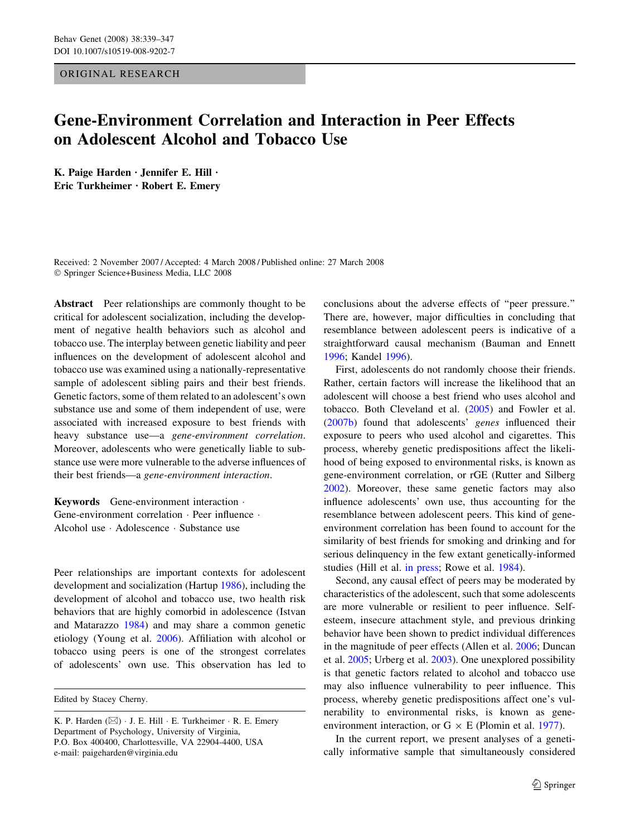# ORIGINAL RESEARCH

# Gene-Environment Correlation and Interaction in Peer Effects on Adolescent Alcohol and Tobacco Use

K. Paige Harden  $\cdot$  Jennifer E. Hill  $\cdot$ Eric Turkheimer · Robert E. Emery

Received: 2 November 2007 / Accepted: 4 March 2008 / Published online: 27 March 2008 ! Springer Science+Business Media, LLC 2008

Abstract Peer relationships are commonly thought to be critical for adolescent socialization, including the development of negative health behaviors such as alcohol and tobacco use. The interplay between genetic liability and peer influences on the development of adolescent alcohol and tobacco use was examined using a nationally-representative sample of adolescent sibling pairs and their best friends. Genetic factors, some of them related to an adolescent's own substance use and some of them independent of use, were associated with increased exposure to best friends with heavy substance use—a gene-environment correlation. Moreover, adolescents who were genetically liable to substance use were more vulnerable to the adverse influences of their best friends—a gene-environment interaction.

Keywords Gene-environment interaction . Gene-environment correlation  $\cdot$  Peer influence  $\cdot$ Alcohol use · Adolescence · Substance use

Peer relationships are important contexts for adolescent development and socialization (Hartup [1986](#page-8-0)), including the development of alcohol and tobacco use, two health risk behaviors that are highly comorbid in adolescence (Istvan and Matarazzo [1984\)](#page-8-0) and may share a common genetic etiology (Young et al. [2006](#page-8-0)). Affiliation with alcohol or tobacco using peers is one of the strongest correlates of adolescents' own use. This observation has led to

Edited by Stacey Cherny.

conclusions about the adverse effects of ''peer pressure.'' There are, however, major difficulties in concluding that resemblance between adolescent peers is indicative of a straightforward causal mechanism (Bauman and Ennett [1996](#page-7-0); Kandel [1996](#page-8-0)).

First, adolescents do not randomly choose their friends. Rather, certain factors will increase the likelihood that an adolescent will choose a best friend who uses alcohol and tobacco. Both Cleveland et al. [\(2005](#page-8-0)) and Fowler et al. [\(2007b](#page-8-0)) found that adolescents' genes influenced their exposure to peers who used alcohol and cigarettes. This process, whereby genetic predispositions affect the likelihood of being exposed to environmental risks, is known as gene-environment correlation, or rGE (Rutter and Silberg [2002](#page-8-0)). Moreover, these same genetic factors may also influence adolescents' own use, thus accounting for the resemblance between adolescent peers. This kind of geneenvironment correlation has been found to account for the similarity of best friends for smoking and drinking and for serious delinquency in the few extant genetically-informed studies (Hill et al. [in press;](#page-8-0) Rowe et al. [1984](#page-8-0)).

Second, any causal effect of peers may be moderated by characteristics of the adolescent, such that some adolescents are more vulnerable or resilient to peer influence. Selfesteem, insecure attachment style, and previous drinking behavior have been shown to predict individual differences in the magnitude of peer effects (Allen et al. [2006;](#page-7-0) Duncan et al. [2005;](#page-8-0) Urberg et al. [2003\)](#page-8-0). One unexplored possibility is that genetic factors related to alcohol and tobacco use may also influence vulnerability to peer influence. This process, whereby genetic predispositions affect one's vulnerability to environmental risks, is known as geneenvironment interaction, or  $G \times E$  (Plomin et al. [1977\)](#page-8-0).

In the current report, we present analyses of a genetically informative sample that simultaneously considered

K. P. Harden  $(\boxtimes) \cdot$  J. E. Hill  $\cdot$  E. Turkheimer  $\cdot$  R. E. Emery Department of Psychology, University of Virginia, P.O. Box 400400, Charlottesville, VA 22904-4400, USA e-mail: paigeharden@virginia.edu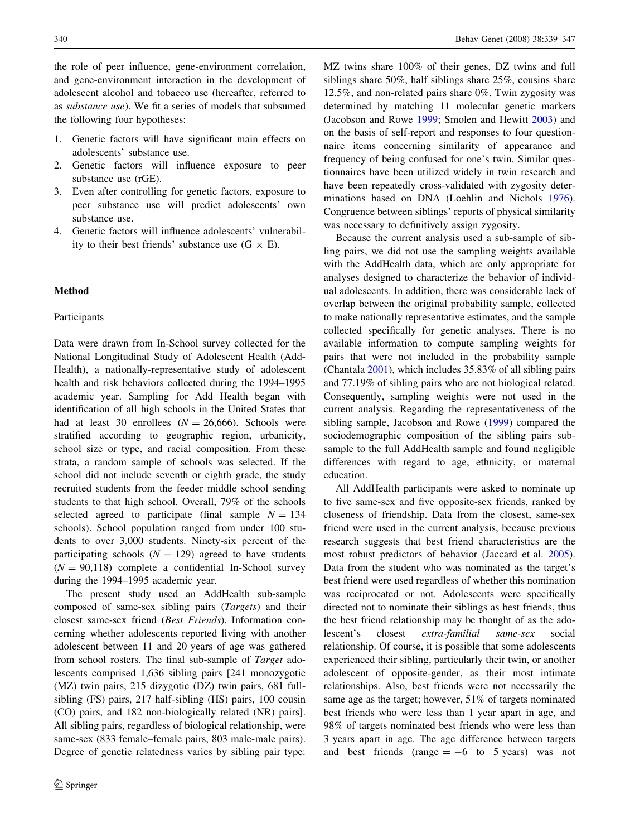the role of peer influence, gene-environment correlation, and gene-environment interaction in the development of adolescent alcohol and tobacco use (hereafter, referred to as substance use). We fit a series of models that subsumed the following four hypotheses:

- 1. Genetic factors will have significant main effects on adolescents' substance use.
- 2. Genetic factors will influence exposure to peer substance use (rGE).
- 3. Even after controlling for genetic factors, exposure to peer substance use will predict adolescents' own substance use.
- 4. Genetic factors will influence adolescents' vulnerability to their best friends' substance use  $(G \times E)$ .

#### Method

#### Participants

Data were drawn from In-School survey collected for the National Longitudinal Study of Adolescent Health (Add-Health), a nationally-representative study of adolescent health and risk behaviors collected during the 1994–1995 academic year. Sampling for Add Health began with identification of all high schools in the United States that had at least 30 enrollees  $(N = 26,666)$ . Schools were stratified according to geographic region, urbanicity, school size or type, and racial composition. From these strata, a random sample of schools was selected. If the school did not include seventh or eighth grade, the study recruited students from the feeder middle school sending students to that high school. Overall, 79% of the schools selected agreed to participate (final sample  $N = 134$ ) schools). School population ranged from under 100 students to over 3,000 students. Ninety-six percent of the participating schools  $(N = 129)$  agreed to have students  $(N = 90,118)$  complete a confidential In-School survey during the 1994–1995 academic year.

The present study used an AddHealth sub-sample composed of same-sex sibling pairs (Targets) and their closest same-sex friend (Best Friends). Information concerning whether adolescents reported living with another adolescent between 11 and 20 years of age was gathered from school rosters. The final sub-sample of Target adolescents comprised 1,636 sibling pairs [241 monozygotic (MZ) twin pairs, 215 dizygotic (DZ) twin pairs, 681 fullsibling (FS) pairs, 217 half-sibling (HS) pairs, 100 cousin (CO) pairs, and 182 non-biologically related (NR) pairs]. All sibling pairs, regardless of biological relationship, were same-sex (833 female–female pairs, 803 male-male pairs). Degree of genetic relatedness varies by sibling pair type: MZ twins share 100% of their genes, DZ twins and full siblings share 50%, half siblings share 25%, cousins share 12.5%, and non-related pairs share 0%. Twin zygosity was determined by matching 11 molecular genetic markers (Jacobson and Rowe [1999](#page-8-0); Smolen and Hewitt [2003\)](#page-8-0) and on the basis of self-report and responses to four questionnaire items concerning similarity of appearance and frequency of being confused for one's twin. Similar questionnaires have been utilized widely in twin research and have been repeatedly cross-validated with zygosity determinations based on DNA (Loehlin and Nichols [1976](#page-8-0)). Congruence between siblings' reports of physical similarity was necessary to definitively assign zygosity.

Because the current analysis used a sub-sample of sibling pairs, we did not use the sampling weights available with the AddHealth data, which are only appropriate for analyses designed to characterize the behavior of individual adolescents. In addition, there was considerable lack of overlap between the original probability sample, collected to make nationally representative estimates, and the sample collected specifically for genetic analyses. There is no available information to compute sampling weights for pairs that were not included in the probability sample (Chantala [2001\)](#page-8-0), which includes 35.83% of all sibling pairs and 77.19% of sibling pairs who are not biological related. Consequently, sampling weights were not used in the current analysis. Regarding the representativeness of the sibling sample, Jacobson and Rowe [\(1999](#page-8-0)) compared the sociodemographic composition of the sibling pairs subsample to the full AddHealth sample and found negligible differences with regard to age, ethnicity, or maternal education.

All AddHealth participants were asked to nominate up to five same-sex and five opposite-sex friends, ranked by closeness of friendship. Data from the closest, same-sex friend were used in the current analysis, because previous research suggests that best friend characteristics are the most robust predictors of behavior (Jaccard et al. [2005](#page-8-0)). Data from the student who was nominated as the target's best friend were used regardless of whether this nomination was reciprocated or not. Adolescents were specifically directed not to nominate their siblings as best friends, thus the best friend relationship may be thought of as the adolescent's closest extra-familial same-sex social relationship. Of course, it is possible that some adolescents experienced their sibling, particularly their twin, or another adolescent of opposite-gender, as their most intimate relationships. Also, best friends were not necessarily the same age as the target; however, 51% of targets nominated best friends who were less than 1 year apart in age, and 98% of targets nominated best friends who were less than 3 years apart in age. The age difference between targets and best friends (range  $= -6$  to 5 years) was not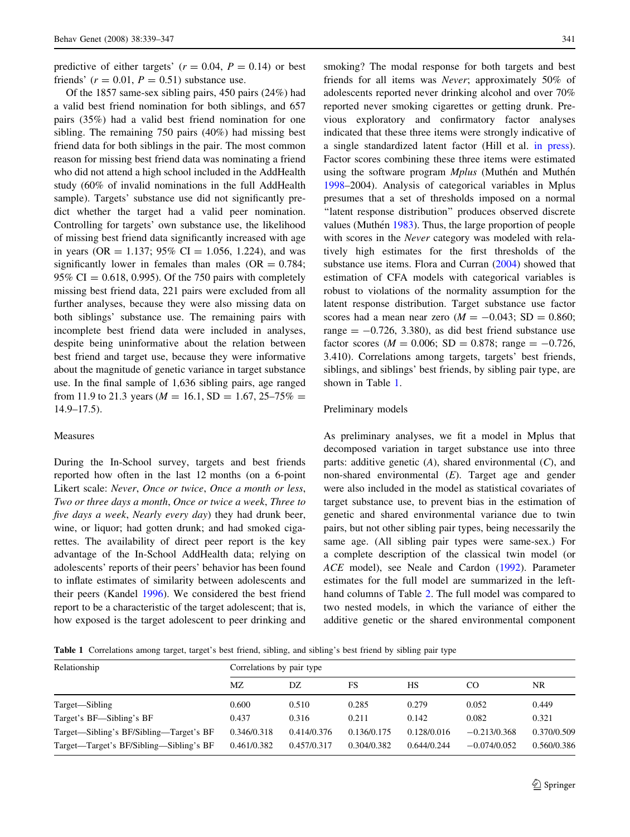predictive of either targets'  $(r = 0.04, P = 0.14)$  or best friends'  $(r = 0.01, P = 0.51)$  substance use.

Of the 1857 same-sex sibling pairs, 450 pairs (24%) had a valid best friend nomination for both siblings, and 657 pairs (35%) had a valid best friend nomination for one sibling. The remaining 750 pairs (40%) had missing best friend data for both siblings in the pair. The most common reason for missing best friend data was nominating a friend who did not attend a high school included in the AddHealth study (60% of invalid nominations in the full AddHealth sample). Targets' substance use did not significantly predict whether the target had a valid peer nomination. Controlling for targets' own substance use, the likelihood of missing best friend data significantly increased with age in years ( $OR = 1.137$ ; 95%  $CI = 1.056$ , 1.224), and was significantly lower in females than males ( $OR = 0.784$ ; 95% CI = 0.618, 0.995). Of the 750 pairs with completely missing best friend data, 221 pairs were excluded from all further analyses, because they were also missing data on both siblings' substance use. The remaining pairs with incomplete best friend data were included in analyses, despite being uninformative about the relation between best friend and target use, because they were informative about the magnitude of genetic variance in target substance use. In the final sample of 1,636 sibling pairs, age ranged from 11.9 to 21.3 years ( $M = 16.1$ , SD = 1.67, 25–75% = 14.9–17.5).

#### Measures

During the In-School survey, targets and best friends reported how often in the last 12 months (on a 6-point Likert scale: Never, Once or twice, Once a month or less, Two or three days a month, Once or twice a week, Three to five days a week, Nearly every day) they had drunk beer, wine, or liquor; had gotten drunk; and had smoked cigarettes. The availability of direct peer report is the key advantage of the In-School AddHealth data; relying on adolescents' reports of their peers' behavior has been found to inflate estimates of similarity between adolescents and their peers (Kandel [1996](#page-8-0)). We considered the best friend report to be a characteristic of the target adolescent; that is, how exposed is the target adolescent to peer drinking and smoking? The modal response for both targets and best friends for all items was Never; approximately 50% of adolescents reported never drinking alcohol and over 70% reported never smoking cigarettes or getting drunk. Previous exploratory and confirmatory factor analyses indicated that these three items were strongly indicative of a single standardized latent factor (Hill et al. [in press](#page-8-0)). Factor scores combining these three items were estimated using the software program *Mplus* (Muthén and Muthén [1998](#page-8-0)–2004). Analysis of categorical variables in Mplus presumes that a set of thresholds imposed on a normal ''latent response distribution'' produces observed discrete values (Muthén [1983](#page-8-0)). Thus, the large proportion of people with scores in the *Never* category was modeled with relatively high estimates for the first thresholds of the substance use items. Flora and Curran ([2004\)](#page-8-0) showed that estimation of CFA models with categorical variables is robust to violations of the normality assumption for the latent response distribution. Target substance use factor scores had a mean near zero  $(M = -0.043; SD = 0.860;$ range  $= -0.726$ , 3.380), as did best friend substance use factor scores ( $M = 0.006$ ; SD = 0.878; range = -0.726, 3.410). Correlations among targets, targets' best friends, siblings, and siblings' best friends, by sibling pair type, are shown in Table [1.](#page-2-0)

#### Preliminary models

As preliminary analyses, we fit a model in Mplus that decomposed variation in target substance use into three parts: additive genetic  $(A)$ , shared environmental  $(C)$ , and non-shared environmental  $(E)$ . Target age and gender were also included in the model as statistical covariates of target substance use, to prevent bias in the estimation of genetic and shared environmental variance due to twin pairs, but not other sibling pair types, being necessarily the same age. (All sibling pair types were same-sex.) For a complete description of the classical twin model (or ACE model), see Neale and Cardon [\(1992](#page-8-0)). Parameter estimates for the full model are summarized in the lefthand columns of Table [2](#page-3-0). The full model was compared to two nested models, in which the variance of either the additive genetic or the shared environmental component

Table 1 Correlations among target, target's best friend, sibling, and sibling's best friend by sibling pair type

<span id="page-2-0"></span>

| Relationship                            | Correlations by pair type |             |             |             |                |             |
|-----------------------------------------|---------------------------|-------------|-------------|-------------|----------------|-------------|
|                                         | MZ                        | DZ.         | FS          | HS          | CO             | <b>NR</b>   |
| Target—Sibling                          | 0.600                     | 0.510       | 0.285       | 0.279       | 0.052          | 0.449       |
| Target's BF—Sibling's BF                | 0.437                     | 0.316       | 0.211       | 0.142       | 0.082          | 0.321       |
| Target—Sibling's BF/Sibling—Target's BF | 0.346/0.318               | 0.414/0.376 | 0.136/0.175 | 0.128/0.016 | $-0.213/0.368$ | 0.370/0.509 |
| Target—Target's BF/Sibling—Sibling's BF | 0.461/0.382               | 0.457/0.317 | 0.304/0.382 | 0.644/0.244 | $-0.074/0.052$ | 0.560/0.386 |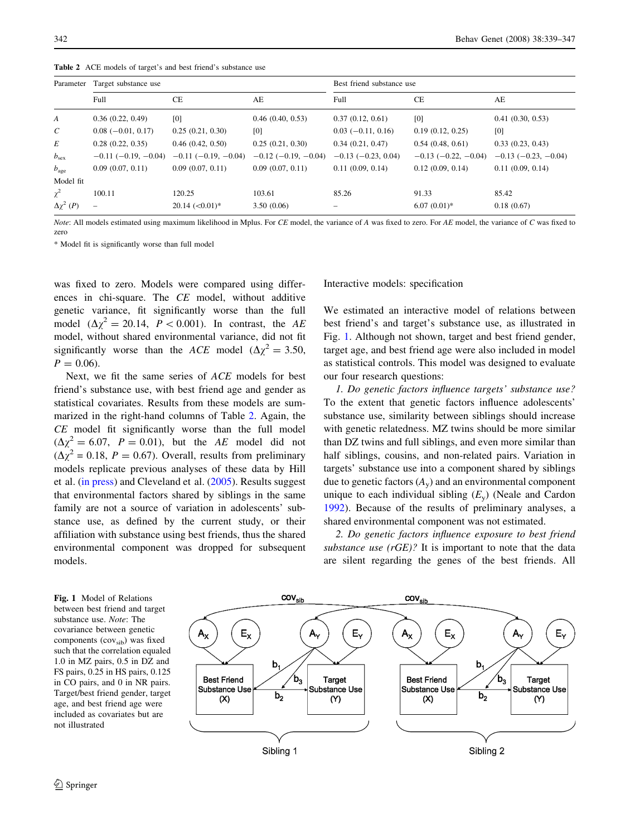| <b>Table 2</b> ACE models of target's and best friend's substance use |  |
|-----------------------------------------------------------------------|--|
|-----------------------------------------------------------------------|--|

| Parameter          | Target substance use          |                               |                               | Best friend substance use |                            |                               |
|--------------------|-------------------------------|-------------------------------|-------------------------------|---------------------------|----------------------------|-------------------------------|
|                    | Full                          | <b>CE</b>                     | AE                            | Full                      | <b>CE</b>                  | AE                            |
| $\boldsymbol{A}$   | 0.36(0.22, 0.49)              | [0]                           | 0.46(0.40, 0.53)              | 0.37(0.12, 0.61)          | [0]                        | 0.41(0.30, 0.53)              |
| $\mathcal{C}$      | $0.08$ ( $-0.01$ , 0.17)      | 0.25(0.21, 0.30)              | [0]                           | $0.03$ (-0.11, 0.16)      | 0.19(0.12, 0.25)           | [0]                           |
| Е                  | 0.28(0.22, 0.35)              | 0.46(0.42, 0.50)              | 0.25(0.21, 0.30)              | 0.34(0.21, 0.47)          | 0.54(0.48, 0.61)           | 0.33(0.23, 0.43)              |
| $b_{\text{sex}}$   | $-0.11$ ( $-0.19$ , $-0.04$ ) | $-0.11$ ( $-0.19$ , $-0.04$ ) | $-0.12$ ( $-0.19$ , $-0.04$ ) | $-0.13(-0.23, 0.04)$      | $-0.13$ ( $-0.22, -0.04$ ) | $-0.13$ ( $-0.23$ , $-0.04$ ) |
| $b_{\text{age}}$   | 0.09(0.07, 0.11)              | 0.09(0.07, 0.11)              | 0.09(0.07, 0.11)              | 0.11(0.09, 0.14)          | 0.12(0.09, 0.14)           | 0.11(0.09, 0.14)              |
| Model fit          |                               |                               |                               |                           |                            |                               |
| $\chi^2$           | 100.11                        | 120.25                        | 103.61                        | 85.26                     | 91.33                      | 85.42                         |
| $\Delta \chi^2(P)$ | $\equiv$                      | $20.14$ $(0.01)*$             | 3.50(0.06)                    | $\overline{\phantom{m}}$  | $6.07(0.01)*$              | 0.18(0.67)                    |

Note: All models estimated using maximum likelihood in Mplus. For CE model, the variance of A was fixed to zero. For AE model, the variance of C was fixed to zero

\* Model fit is significantly worse than full model

was fixed to zero. Models were compared using differences in chi-square. The CE model, without additive genetic variance, fit significantly worse than the full model ( $\Delta \chi^2 = 20.14$ ,  $P \lt 0.001$ ). In contrast, the AE model, without shared environmental variance, did not fit significantly worse than the ACE model ( $\Delta \chi^2 = 3.50$ ,  $P = 0.06$ .

Next, we fit the same series of ACE models for best friend's substance use, with best friend age and gender as statistical covariates. Results from these models are summarized in the right-hand columns of Table [2](#page-3-0). Again, the CE model fit significantly worse than the full model  $(\Delta \chi^2 = 6.07, P = 0.01)$ , but the AE model did not  $(\Delta \chi^2 = 0.18, P = 0.67)$ . Overall, results from preliminary models replicate previous analyses of these data by Hill et al. [\(in press\)](#page-8-0) and Cleveland et al. [\(2005](#page-8-0)). Results suggest that environmental factors shared by siblings in the same family are not a source of variation in adolescents' substance use, as defined by the current study, or their affiliation with substance using best friends, thus the shared environmental component was dropped for subsequent models.

Interactive models: specification

We estimated an interactive model of relations between best friend's and target's substance use, as illustrated in Fig. [1](#page-3-0). Although not shown, target and best friend gender, target age, and best friend age were also included in model as statistical controls. This model was designed to evaluate our four research questions:

1. Do genetic factors influence targets' substance use? To the extent that genetic factors influence adolescents' substance use, similarity between siblings should increase with genetic relatedness. MZ twins should be more similar than DZ twins and full siblings, and even more similar than half siblings, cousins, and non-related pairs. Variation in targets' substance use into a component shared by siblings due to genetic factors  $(A_v)$  and an environmental component unique to each individual sibling  $(E_v)$  (Neale and Cardon [1992](#page-8-0)). Because of the results of preliminary analyses, a shared environmental component was not estimated.

2. Do genetic factors influence exposure to best friend substance use  $(rGE)$ ? It is important to note that the data are silent regarding the genes of the best friends. All

<span id="page-3-0"></span>Fig. 1 Model of Relations between best friend and target substance use. Note: The covariance between genetic components (cov<sub>sib</sub>) was fixed such that the correlation equaled 1.0 in MZ pairs, 0.5 in DZ and FS pairs, 0.25 in HS pairs, 0.125 in CO pairs, and 0 in NR pairs. Target/best friend gender, target age, and best friend age were included as covariates but are not illustrated

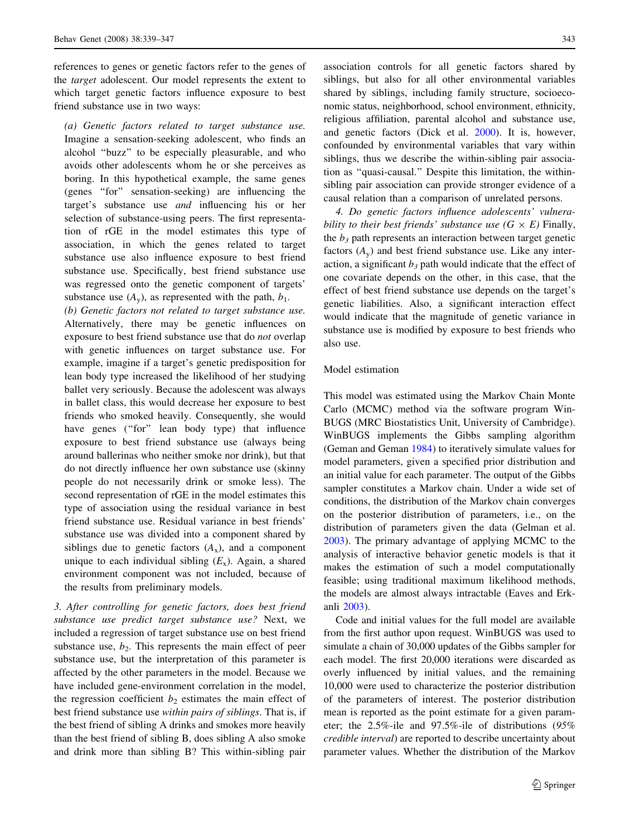references to genes or genetic factors refer to the genes of the target adolescent. Our model represents the extent to which target genetic factors influence exposure to best friend substance use in two ways:

(a) Genetic factors related to target substance use. Imagine a sensation-seeking adolescent, who finds an alcohol ''buzz'' to be especially pleasurable, and who avoids other adolescents whom he or she perceives as boring. In this hypothetical example, the same genes (genes ''for'' sensation-seeking) are influencing the target's substance use and influencing his or her selection of substance-using peers. The first representation of rGE in the model estimates this type of association, in which the genes related to target substance use also influence exposure to best friend substance use. Specifically, best friend substance use was regressed onto the genetic component of targets' substance use  $(A_v)$ , as represented with the path,  $b_1$ .

(b) Genetic factors not related to target substance use. Alternatively, there may be genetic influences on exposure to best friend substance use that do not overlap with genetic influences on target substance use. For example, imagine if a target's genetic predisposition for lean body type increased the likelihood of her studying ballet very seriously. Because the adolescent was always in ballet class, this would decrease her exposure to best friends who smoked heavily. Consequently, she would have genes ("for" lean body type) that influence exposure to best friend substance use (always being around ballerinas who neither smoke nor drink), but that do not directly influence her own substance use (skinny people do not necessarily drink or smoke less). The second representation of rGE in the model estimates this type of association using the residual variance in best friend substance use. Residual variance in best friends' substance use was divided into a component shared by siblings due to genetic factors  $(A_x)$ , and a component unique to each individual sibling  $(E_x)$ . Again, a shared environment component was not included, because of the results from preliminary models.

3. After controlling for genetic factors, does best friend substance use predict target substance use? Next, we included a regression of target substance use on best friend substance use,  $b_2$ . This represents the main effect of peer substance use, but the interpretation of this parameter is affected by the other parameters in the model. Because we have included gene-environment correlation in the model, the regression coefficient  $b_2$  estimates the main effect of best friend substance use within pairs of siblings. That is, if the best friend of sibling A drinks and smokes more heavily than the best friend of sibling B, does sibling A also smoke and drink more than sibling B? This within-sibling pair

association controls for all genetic factors shared by siblings, but also for all other environmental variables shared by siblings, including family structure, socioeconomic status, neighborhood, school environment, ethnicity, religious affiliation, parental alcohol and substance use, and genetic factors (Dick et al. [2000\)](#page-8-0). It is, however, confounded by environmental variables that vary within siblings, thus we describe the within-sibling pair association as ''quasi-causal.'' Despite this limitation, the withinsibling pair association can provide stronger evidence of a causal relation than a comparison of unrelated persons.

4. Do genetic factors influence adolescents' vulnerability to their best friends' substance use  $(G \times E)$  Finally, the  $b_3$  path represents an interaction between target genetic factors  $(A_v)$  and best friend substance use. Like any interaction, a significant  $b_3$  path would indicate that the effect of one covariate depends on the other, in this case, that the effect of best friend substance use depends on the target's genetic liabilities. Also, a significant interaction effect would indicate that the magnitude of genetic variance in substance use is modified by exposure to best friends who also use.

### Model estimation

This model was estimated using the Markov Chain Monte Carlo (MCMC) method via the software program Win-BUGS (MRC Biostatistics Unit, University of Cambridge). WinBUGS implements the Gibbs sampling algorithm (Geman and Geman [1984\)](#page-8-0) to iteratively simulate values for model parameters, given a specified prior distribution and an initial value for each parameter. The output of the Gibbs sampler constitutes a Markov chain. Under a wide set of conditions, the distribution of the Markov chain converges on the posterior distribution of parameters, i.e., on the distribution of parameters given the data (Gelman et al. [2003](#page-8-0)). The primary advantage of applying MCMC to the analysis of interactive behavior genetic models is that it makes the estimation of such a model computationally feasible; using traditional maximum likelihood methods, the models are almost always intractable (Eaves and Erkanli [2003\)](#page-8-0).

Code and initial values for the full model are available from the first author upon request. WinBUGS was used to simulate a chain of 30,000 updates of the Gibbs sampler for each model. The first 20,000 iterations were discarded as overly influenced by initial values, and the remaining 10,000 were used to characterize the posterior distribution of the parameters of interest. The posterior distribution mean is reported as the point estimate for a given parameter; the 2.5%-ile and 97.5%-ile of distributions (95% credible interval) are reported to describe uncertainty about parameter values. Whether the distribution of the Markov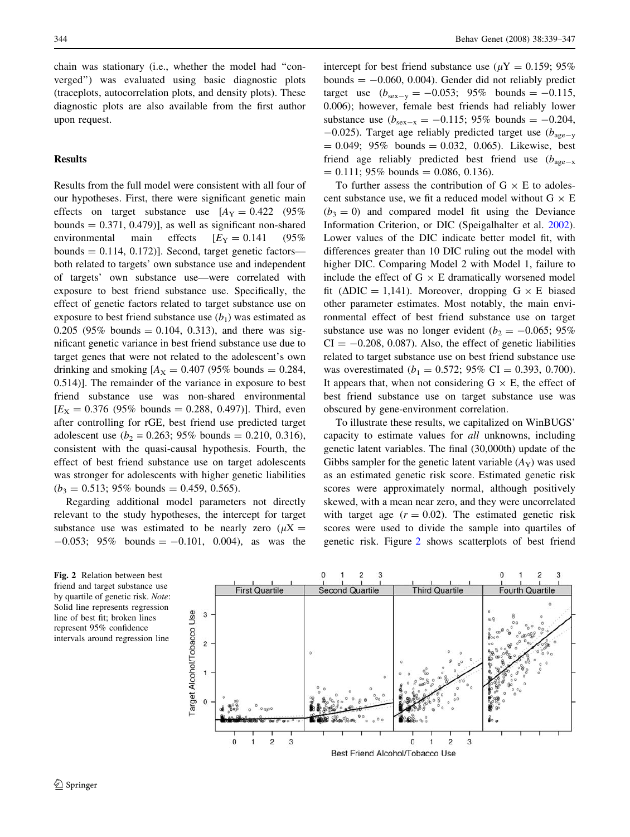chain was stationary (i.e., whether the model had ''converged'') was evaluated using basic diagnostic plots (traceplots, autocorrelation plots, and density plots). These diagnostic plots are also available from the first author upon request.

### **Results**

Results from the full model were consistent with all four of our hypotheses. First, there were significant genetic main effects on target substance use  $[A<sub>Y</sub> = 0.422 \quad (95\%$ bounds  $= 0.371, 0.479$ ], as well as significant non-shared environmental main effects  $[E_Y = 0.141 \quad (95\%$ bounds  $= 0.114, 0.172$ ]. Second, target genetic factors both related to targets' own substance use and independent of targets' own substance use—were correlated with exposure to best friend substance use. Specifically, the effect of genetic factors related to target substance use on exposure to best friend substance use  $(b_1)$  was estimated as  $0.205$  (95% bounds = 0.104, 0.313), and there was significant genetic variance in best friend substance use due to target genes that were not related to the adolescent's own drinking and smoking  $[A_x = 0.407 (95\%$  bounds = 0.284, 0.514)]. The remainder of the variance in exposure to best friend substance use was non-shared environmental  $[E_{x} = 0.376 (95\%$  bounds = 0.288, 0.497)]. Third, even after controlling for rGE, best friend use predicted target adolescent use ( $b_2 = 0.263$ ; 95% bounds = 0.210, 0.316), consistent with the quasi-causal hypothesis. Fourth, the effect of best friend substance use on target adolescents was stronger for adolescents with higher genetic liabilities  $(b_3 = 0.513; 95\%$  bounds = 0.459, 0.565).

Regarding additional model parameters not directly relevant to the study hypotheses, the intercept for target substance use was estimated to be nearly zero ( $\mu$ X =  $-0.053$ ; 95% bounds =  $-0.101$ , 0.004), as was the intercept for best friend substance use ( $uY = 0.159$ ; 95% bounds  $= -0.060, 0.004$ . Gender did not reliably predict target use  $(b_{\text{sex}-v} = -0.053; 95\%$  bounds = -0.115, 0.006); however, female best friends had reliably lower substance use  $(b_{\text{sex-}x} = -0.115; 95\%$  bounds = -0.204, -0.025). Target age reliably predicted target use  $(b_{\text{age}-y})$  $= 0.049$ ; 95% bounds  $= 0.032, 0.065$ ). Likewise, best friend age reliably predicted best friend use  $(b_{\text{age}-x})$  $= 0.111$ ; 95% bounds  $= 0.086, 0.136$ .

To further assess the contribution of  $G \times E$  to adolescent substance use, we fit a reduced model without  $G \times E$  $(b_3 = 0)$  and compared model fit using the Deviance Information Criterion, or DIC (Speigalhalter et al. [2002](#page-8-0)). Lower values of the DIC indicate better model fit, with differences greater than 10 DIC ruling out the model with higher DIC. Comparing Model 2 with Model 1, failure to include the effect of  $G \times E$  dramatically worsened model fit ( $\Delta DIC = 1,141$ ). Moreover, dropping  $G \times E$  biased other parameter estimates. Most notably, the main environmental effect of best friend substance use on target substance use was no longer evident ( $b_2 = -0.065$ ; 95%  $CI = -0.208, 0.087$ . Also, the effect of genetic liabilities related to target substance use on best friend substance use was overestimated ( $b_1 = 0.572$ ; 95% CI = 0.393, 0.700). It appears that, when not considering  $G \times E$ , the effect of best friend substance use on target substance use was obscured by gene-environment correlation.

To illustrate these results, we capitalized on WinBUGS' capacity to estimate values for all unknowns, including genetic latent variables. The final (30,000th) update of the Gibbs sampler for the genetic latent variable  $(A_Y)$  was used as an estimated genetic risk score. Estimated genetic risk scores were approximately normal, although positively skewed, with a mean near zero, and they were uncorrelated with target age  $(r = 0.02)$ . The estimated genetic risk scores were used to divide the sample into quartiles of genetic risk. Figure [2](#page-5-0) shows scatterplots of best friend

<span id="page-5-0"></span>Fig. 2 Relation between best friend and target substance use by quartile of genetic risk. Note: Solid line represents regression line of best fit; broken lines represent 95% confidence intervals around regression line

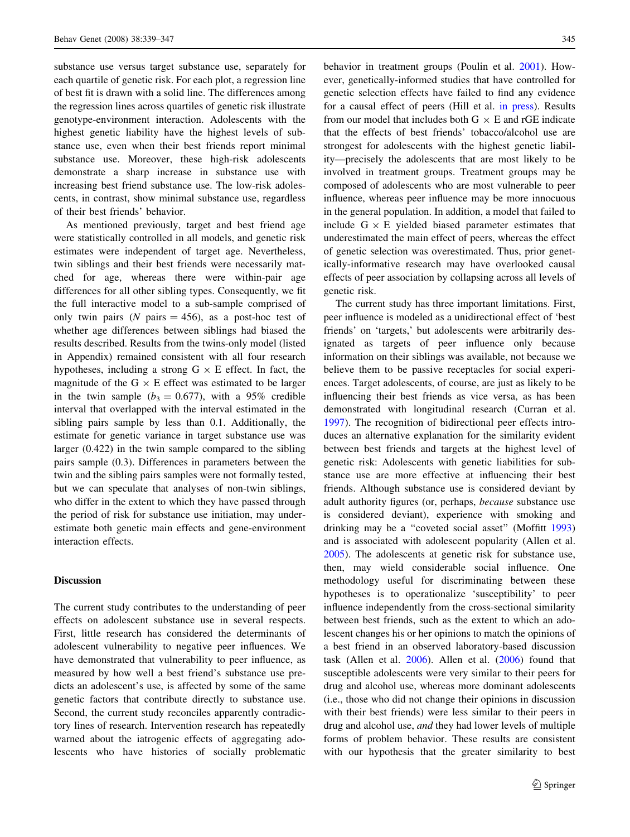substance use versus target substance use, separately for each quartile of genetic risk. For each plot, a regression line of best fit is drawn with a solid line. The differences among the regression lines across quartiles of genetic risk illustrate genotype-environment interaction. Adolescents with the highest genetic liability have the highest levels of substance use, even when their best friends report minimal substance use. Moreover, these high-risk adolescents demonstrate a sharp increase in substance use with increasing best friend substance use. The low-risk adolescents, in contrast, show minimal substance use, regardless of their best friends' behavior.

As mentioned previously, target and best friend age were statistically controlled in all models, and genetic risk estimates were independent of target age. Nevertheless, twin siblings and their best friends were necessarily matched for age, whereas there were within-pair age differences for all other sibling types. Consequently, we fit the full interactive model to a sub-sample comprised of only twin pairs (N pairs  $= 456$ ), as a post-hoc test of whether age differences between siblings had biased the results described. Results from the twins-only model (listed in Appendix) remained consistent with all four research hypotheses, including a strong  $G \times E$  effect. In fact, the magnitude of the  $G \times E$  effect was estimated to be larger in the twin sample ( $b_3 = 0.677$ ), with a 95% credible interval that overlapped with the interval estimated in the sibling pairs sample by less than 0.1. Additionally, the estimate for genetic variance in target substance use was larger (0.422) in the twin sample compared to the sibling pairs sample (0.3). Differences in parameters between the twin and the sibling pairs samples were not formally tested, but we can speculate that analyses of non-twin siblings, who differ in the extent to which they have passed through the period of risk for substance use initiation, may underestimate both genetic main effects and gene-environment interaction effects.

# **Discussion**

The current study contributes to the understanding of peer effects on adolescent substance use in several respects. First, little research has considered the determinants of adolescent vulnerability to negative peer influences. We have demonstrated that vulnerability to peer influence, as measured by how well a best friend's substance use predicts an adolescent's use, is affected by some of the same genetic factors that contribute directly to substance use. Second, the current study reconciles apparently contradictory lines of research. Intervention research has repeatedly warned about the iatrogenic effects of aggregating adolescents who have histories of socially problematic behavior in treatment groups (Poulin et al. [2001](#page-8-0)). However, genetically-informed studies that have controlled for genetic selection effects have failed to find any evidence for a causal effect of peers (Hill et al. [in press\)](#page-8-0). Results from our model that includes both  $G \times E$  and rGE indicate that the effects of best friends' tobacco/alcohol use are strongest for adolescents with the highest genetic liability—precisely the adolescents that are most likely to be involved in treatment groups. Treatment groups may be composed of adolescents who are most vulnerable to peer influence, whereas peer influence may be more innocuous in the general population. In addition, a model that failed to include  $G \times E$  yielded biased parameter estimates that underestimated the main effect of peers, whereas the effect of genetic selection was overestimated. Thus, prior genetically-informative research may have overlooked causal effects of peer association by collapsing across all levels of genetic risk.

The current study has three important limitations. First, peer influence is modeled as a unidirectional effect of 'best friends' on 'targets,' but adolescents were arbitrarily designated as targets of peer influence only because information on their siblings was available, not because we believe them to be passive receptacles for social experiences. Target adolescents, of course, are just as likely to be influencing their best friends as vice versa, as has been demonstrated with longitudinal research (Curran et al. [1997](#page-8-0)). The recognition of bidirectional peer effects introduces an alternative explanation for the similarity evident between best friends and targets at the highest level of genetic risk: Adolescents with genetic liabilities for substance use are more effective at influencing their best friends. Although substance use is considered deviant by adult authority figures (or, perhaps, because substance use is considered deviant), experience with smoking and drinking may be a "coveted social asset" (Moffitt [1993\)](#page-8-0) and is associated with adolescent popularity (Allen et al. [2005](#page-7-0)). The adolescents at genetic risk for substance use, then, may wield considerable social influence. One methodology useful for discriminating between these hypotheses is to operationalize 'susceptibility' to peer influence independently from the cross-sectional similarity between best friends, such as the extent to which an adolescent changes his or her opinions to match the opinions of a best friend in an observed laboratory-based discussion task (Allen et al. [2006](#page-7-0)). Allen et al. ([2006\)](#page-7-0) found that susceptible adolescents were very similar to their peers for drug and alcohol use, whereas more dominant adolescents (i.e., those who did not change their opinions in discussion with their best friends) were less similar to their peers in drug and alcohol use, and they had lower levels of multiple forms of problem behavior. These results are consistent with our hypothesis that the greater similarity to best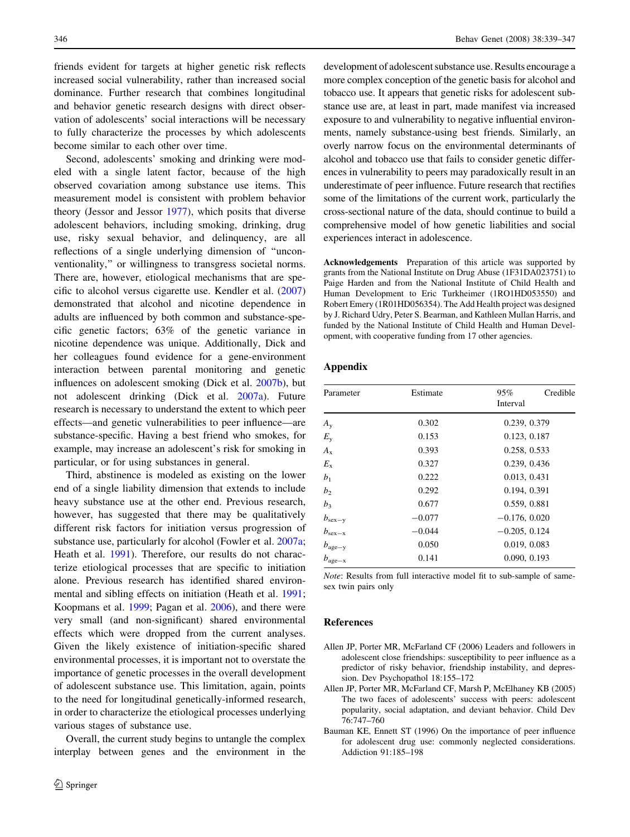friends evident for targets at higher genetic risk reflects increased social vulnerability, rather than increased social dominance. Further research that combines longitudinal and behavior genetic research designs with direct observation of adolescents' social interactions will be necessary to fully characterize the processes by which adolescents become similar to each other over time.

Second, adolescents' smoking and drinking were modeled with a single latent factor, because of the high observed covariation among substance use items. This measurement model is consistent with problem behavior theory (Jessor and Jessor [1977](#page-8-0)), which posits that diverse adolescent behaviors, including smoking, drinking, drug use, risky sexual behavior, and delinquency, are all reflections of a single underlying dimension of ''unconventionality,'' or willingness to transgress societal norms. There are, however, etiological mechanisms that are specific to alcohol versus cigarette use. Kendler et al. ([2007\)](#page-8-0) demonstrated that alcohol and nicotine dependence in adults are influenced by both common and substance-specific genetic factors; 63% of the genetic variance in nicotine dependence was unique. Additionally, Dick and her colleagues found evidence for a gene-environment interaction between parental monitoring and genetic influences on adolescent smoking (Dick et al. [2007b](#page-8-0)), but not adolescent drinking (Dick et al. [2007a\)](#page-8-0). Future research is necessary to understand the extent to which peer effects—and genetic vulnerabilities to peer influence—are substance-specific. Having a best friend who smokes, for example, may increase an adolescent's risk for smoking in particular, or for using substances in general.

Third, abstinence is modeled as existing on the lower end of a single liability dimension that extends to include heavy substance use at the other end. Previous research, however, has suggested that there may be qualitatively different risk factors for initiation versus progression of substance use, particularly for alcohol (Fowler et al. [2007a](#page-8-0); Heath et al. [1991\)](#page-8-0). Therefore, our results do not characterize etiological processes that are specific to initiation alone. Previous research has identified shared environmental and sibling effects on initiation (Heath et al. [1991](#page-8-0); Koopmans et al. [1999](#page-8-0); Pagan et al. [2006](#page-8-0)), and there were very small (and non-significant) shared environmental effects which were dropped from the current analyses. Given the likely existence of initiation-specific shared environmental processes, it is important not to overstate the importance of genetic processes in the overall development of adolescent substance use. This limitation, again, points to the need for longitudinal genetically-informed research, in order to characterize the etiological processes underlying various stages of substance use.

<span id="page-7-0"></span>Overall, the current study begins to untangle the complex interplay between genes and the environment in the development of adolescent substance use. Results encourage a more complex conception of the genetic basis for alcohol and tobacco use. It appears that genetic risks for adolescent substance use are, at least in part, made manifest via increased exposure to and vulnerability to negative influential environments, namely substance-using best friends. Similarly, an overly narrow focus on the environmental determinants of alcohol and tobacco use that fails to consider genetic differences in vulnerability to peers may paradoxically result in an underestimate of peer influence. Future research that rectifies some of the limitations of the current work, particularly the cross-sectional nature of the data, should continue to build a comprehensive model of how genetic liabilities and social experiences interact in adolescence.

Acknowledgements Preparation of this article was supported by grants from the National Institute on Drug Abuse (1F31DA023751) to Paige Harden and from the National Institute of Child Health and Human Development to Eric Turkheimer (1RO1HD053550) and Robert Emery (1R01HD056354). The Add Health project was designed by J. Richard Udry, Peter S. Bearman, and Kathleen Mullan Harris, and funded by the National Institute of Child Health and Human Development, with cooperative funding from 17 other agencies.

#### Appendix

| Parameter                 | Estimate | 95%<br>Credible<br>Interval |
|---------------------------|----------|-----------------------------|
| $A_{y}$                   | 0.302    | 0.239, 0.379                |
| $E_{y}$                   | 0.153    | 0.123, 0.187                |
| $A_{x}$                   | 0.393    | 0.258, 0.533                |
| $E_{\rm x}$               | 0.327    | 0.239, 0.436                |
| b <sub>1</sub>            | 0.222    | 0.013, 0.431                |
| b <sub>2</sub>            | 0.292    | 0.194, 0.391                |
| $b_3$                     | 0.677    | 0.559, 0.881                |
| $b_{\text{sex}-y}$        | $-0.077$ | $-0.176, 0.020$             |
| $b_{\text{sex}-\text{x}}$ | $-0.044$ | $-0.205, 0.124$             |
| $b_{\text{age}-y}$        | 0.050    | 0.019, 0.083                |
| $b_{\rm age-x}$           | 0.141    | 0.090, 0.193                |

Note: Results from full interactive model fit to sub-sample of samesex twin pairs only

#### References

- Allen JP, Porter MR, McFarland CF (2006) Leaders and followers in adolescent close friendships: susceptibility to peer influence as a predictor of risky behavior, friendship instability, and depression. Dev Psychopathol 18:155–172
- Allen JP, Porter MR, McFarland CF, Marsh P, McElhaney KB (2005) The two faces of adolescents' success with peers: adolescent popularity, social adaptation, and deviant behavior. Child Dev 76:747–760
- Bauman KE, Ennett ST (1996) On the importance of peer influence for adolescent drug use: commonly neglected considerations. Addiction 91:185–198